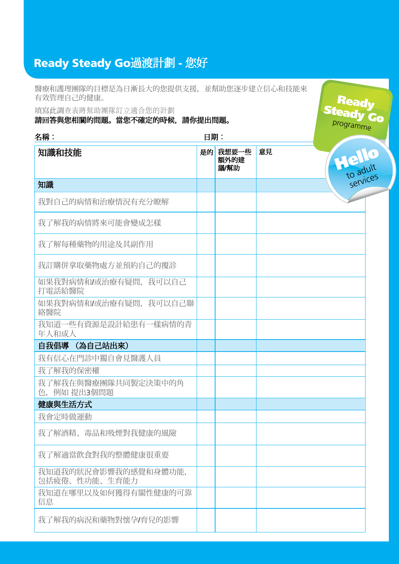## Ready Steady Go過渡計劃 - 您好

醫療和護理團隊的目標是為日漸長大的您提供支援,並幫助您逐步建立信心和技能來 有效管理自己的健康。

Ready

填寫此調查表將幫助團隊訂立適合您的計劃

請回答與您相關的問題。當您不確定的時候,請你提出問題。

Steady Go 名稱: 日期: 知識和技能 是的 我想要一些 意見 Hello 額外的建 議/幫助 to adult services知識 我對自己的病情和治療情況有充分瞭解 我了解我的病情將來可能會變成怎樣 我了解每種藥物的用途及其副作用 我訂購併拿取藥物處方並預約自己的覆診 如果我對病情和/或治療有疑問,我可以自己 打電話給醫院 如果我對病情和/或治療有疑問,我可以自己聯 絡醫院 我知道一些有資源是設計給患有一樣病情的青 年人和成人 自我倡導 (為自己站出來) 我有信心在門診中獨自會見醫護人員 我了解我的保密權 我了解我在與醫療團隊共同製定決策中的角 色,例如 提出3個問題 健康與生活方式 我會定時做運動 我了解酒精、毒品和吸煙對我健康的風險 我了解滴當飲食對我的整體健康很重要 我知道我的狀況會影響我的感覺和身體功能, 包括疲倦、性功能、生育能力 我知道在哪里以及如何獲得有關性健康的可靠 信息 我了解我的病況和藥物對懷孕/育兒的影響